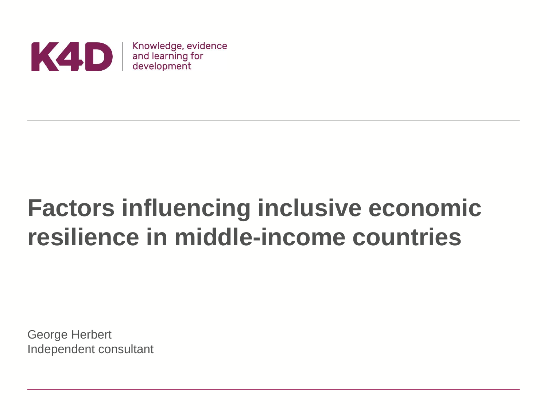

# **Factors influencing inclusive economic resilience in middle-income countries**

George Herbert Independent consultant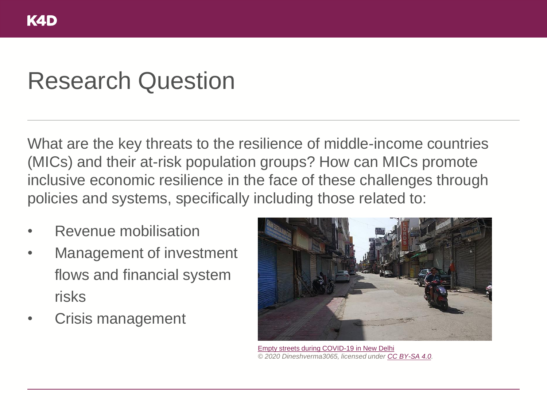### Research Question

What are the key threats to the resilience of middle-income countries (MICs) and their at-risk population groups? How can MICs promote inclusive economic resilience in the face of these challenges through policies and systems, specifically including those related to:

- Revenue mobilisation
- Management of investment flows and financial system risks
- Crisis management



[Empty streets during COVID-19 in New Delhi](https://commons.wikimedia.org/wiki/File:Empty_streets_and_establishment_closures_during_the_COVID-19_pandemic_in_Delhi_IMG_20200407_145130_13.jpg) *© 2020 Dineshverma3065, licensed under [CC BY-SA 4.0.](https://creativecommons.org/licenses/by-sa/4.0/deed.en)*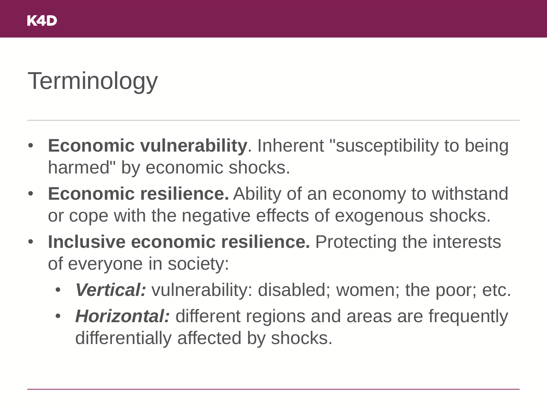# **Terminology**

- **Economic vulnerability**. Inherent "susceptibility to being harmed" by economic shocks.
- **Economic resilience.** Ability of an economy to withstand or cope with the negative effects of exogenous shocks.
- **Inclusive economic resilience.** Protecting the interests of everyone in society:
	- *Vertical:* vulnerability: disabled; women; the poor; etc.
	- *Horizontal:* different regions and areas are frequently differentially affected by shocks.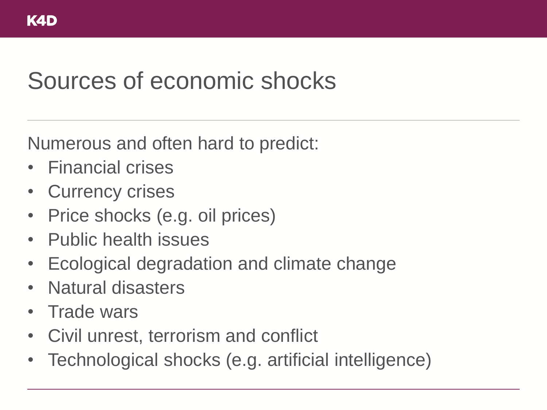### Sources of economic shocks

Numerous and often hard to predict:

- Financial crises
- **Currency crises**
- Price shocks (e.g. oil prices)
- Public health issues
- Ecological degradation and climate change
- Natural disasters
- Trade wars
- Civil unrest, terrorism and conflict
- Technological shocks (e.g. artificial intelligence)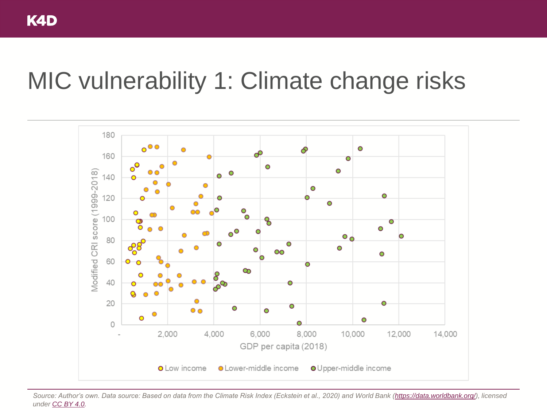### MIC vulnerability 1: Climate change risks



*Source: Author's own. Data source: Based on data from the Climate Risk Index (Eckstein et al., 2020) and World Bank ([https://data.worldbank.org/\)](https://data.worldbank.org/), licensed under [CC BY 4.0](https://creativecommons.org/licenses/by/4.0/).*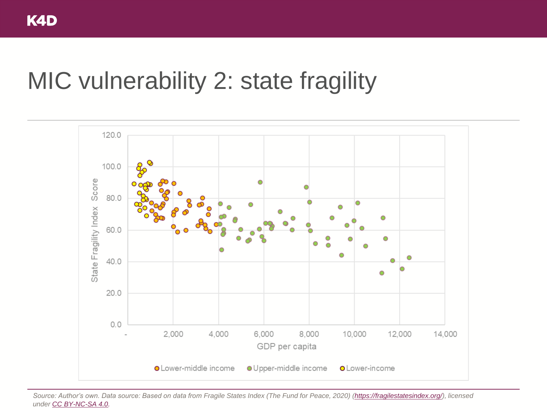### MIC vulnerability 2: state fragility



*Source: Author's own. Data source: Based on data from Fragile States Index (The Fund for Peace, 2020) ([https://fragilestatesindex.org/\)](https://fragilestatesindex.org/), licensed under [CC BY-NC-SA 4.0](https://creativecommons.org/licenses/by-nc-sa/4.0/).*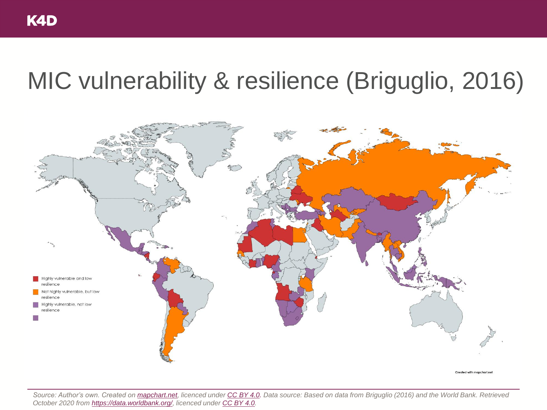## MIC vulnerability & resilience (Briguglio, 2016)



*Source: Author's own. Created on [mapchart.net,](mapchart.net) licenced under [CC BY 4.0.](https://creativecommons.org/licenses/by/4.0/) Data source: Based on data from Briguglio (2016) and the World Bank. Retrieved October 2020 from [https://data.worldbank.org/,](https://data.worldbank.org/) licenced under [CC BY 4.0](https://creativecommons.org/licenses/by/4.0/).*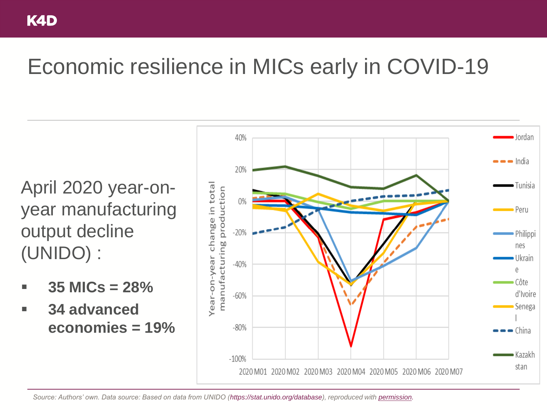### Economic resilience in MICs early in COVID-19

April 2020 year-onyear manufacturing output decline (UNIDO) :

- $35$  MICs  $= 28\%$
- **34 advanced economies = 19%**

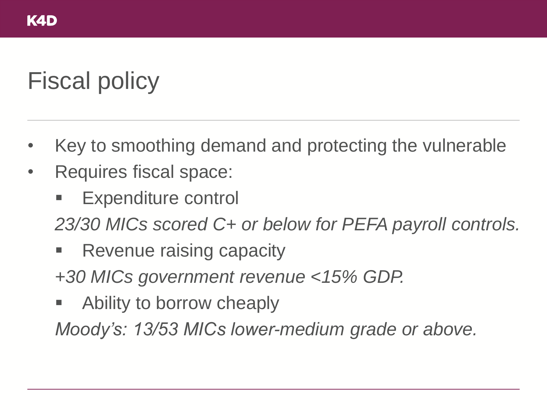# Fiscal policy

- Key to smoothing demand and protecting the vulnerable
- Requires fiscal space:
	- Expenditure control
	- *23/30 MICs scored C+ or below for PEFA payroll controls.*
	- Revenue raising capacity
	- *+30 MICs government revenue <15% GDP.*
	- Ability to borrow cheaply

*Moody's: 13/53 MICs lower-medium grade or above.*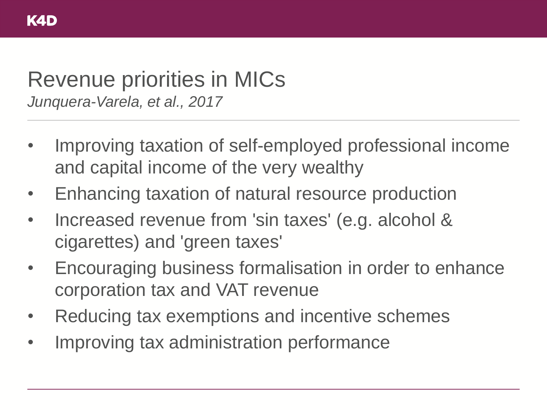#### Revenue priorities in MICs *Junquera-Varela, et al., 2017*

- Improving taxation of self-employed professional income and capital income of the very wealthy
- Enhancing taxation of natural resource production
- Increased revenue from 'sin taxes' (e.g. alcohol & cigarettes) and 'green taxes'
- Encouraging business formalisation in order to enhance corporation tax and VAT revenue
- Reducing tax exemptions and incentive schemes
- Improving tax administration performance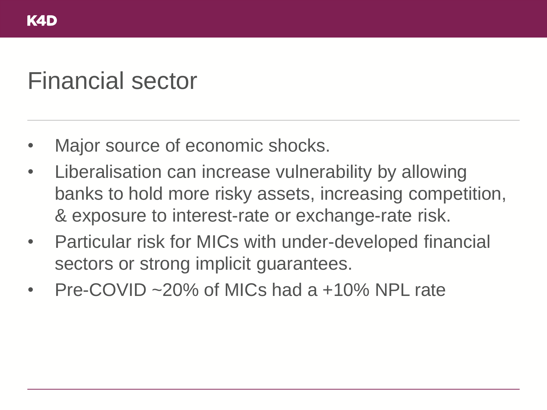### Financial sector

- Major source of economic shocks.
- Liberalisation can increase vulnerability by allowing banks to hold more risky assets, increasing competition, & exposure to interest-rate or exchange-rate risk.
- Particular risk for MICs with under-developed financial sectors or strong implicit guarantees.
- Pre-COVID ~20% of MICs had a +10% NPL rate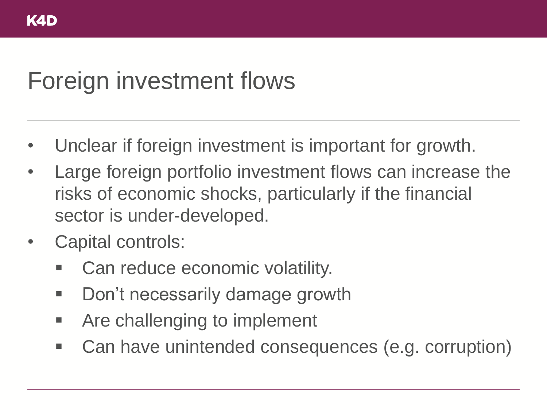## Foreign investment flows

- Unclear if foreign investment is important for growth.
- Large foreign portfolio investment flows can increase the risks of economic shocks, particularly if the financial sector is under-developed.
- Capital controls:
	- Can reduce economic volatility.
	- Don't necessarily damage growth
	- Are challenging to implement
	- Can have unintended consequences (e.g. corruption)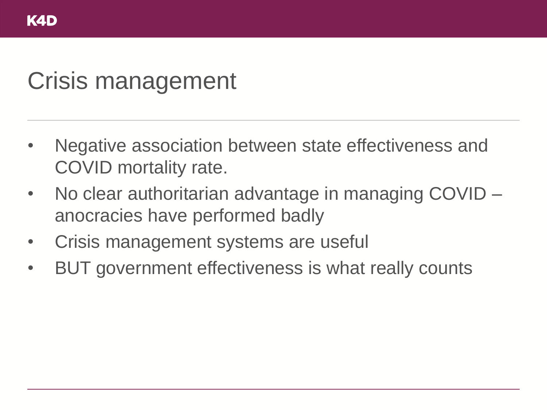## Crisis management

- Negative association between state effectiveness and COVID mortality rate.
- No clear authoritarian advantage in managing COVID anocracies have performed badly
- Crisis management systems are useful
- BUT government effectiveness is what really counts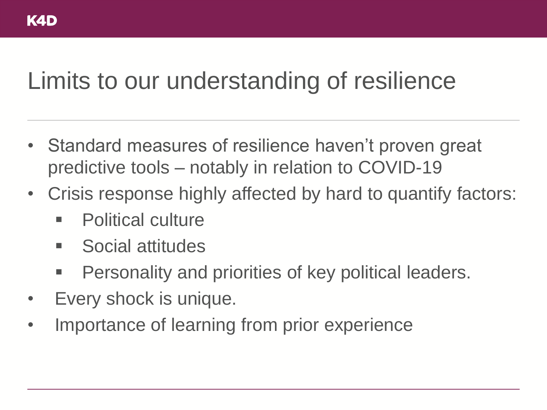## Limits to our understanding of resilience

- Standard measures of resilience haven't proven great predictive tools – notably in relation to COVID-19
- Crisis response highly affected by hard to quantify factors:
	- Political culture
	- Social attitudes
	- **Personality and priorities of key political leaders.**
- Every shock is unique.
- Importance of learning from prior experience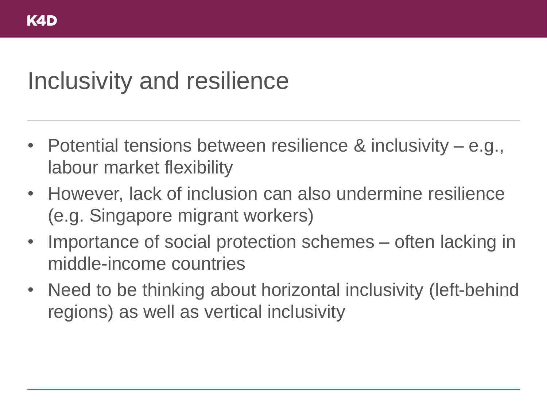## Inclusivity and resilience

- Potential tensions between resilience & inclusivity e.g., labour market flexibility
- However, lack of inclusion can also undermine resilience (e.g. Singapore migrant workers)
- Importance of social protection schemes often lacking in middle-income countries
- Need to be thinking about horizontal inclusivity (left-behind regions) as well as vertical inclusivity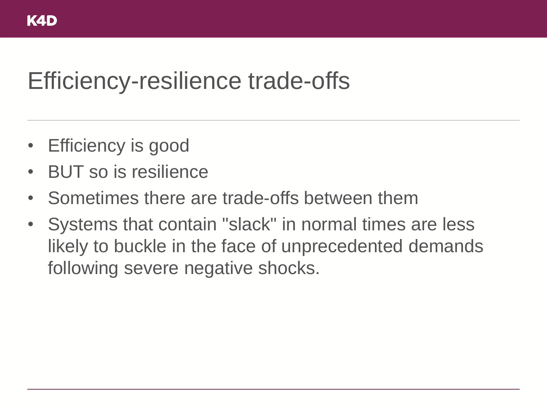### Efficiency-resilience trade-offs

- **Efficiency is good**
- BUT so is resilience
- Sometimes there are trade-offs between them
- Systems that contain "slack" in normal times are less likely to buckle in the face of unprecedented demands following severe negative shocks.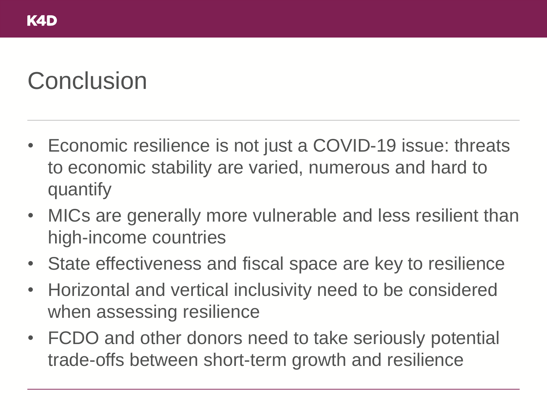## **Conclusion**

- Economic resilience is not just a COVID-19 issue: threats to economic stability are varied, numerous and hard to quantify
- MICs are generally more vulnerable and less resilient than high-income countries
- State effectiveness and fiscal space are key to resilience
- Horizontal and vertical inclusivity need to be considered when assessing resilience
- FCDO and other donors need to take seriously potential trade-offs between short-term growth and resilience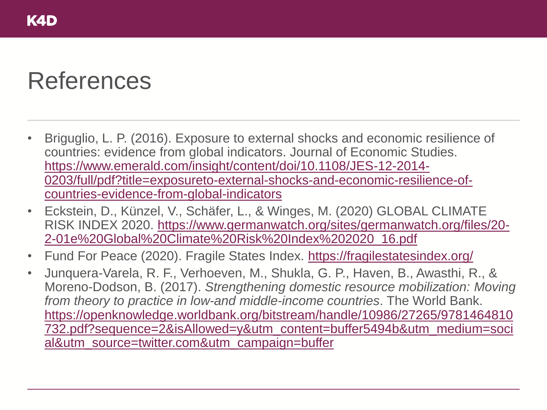### References

- Briguglio, L. P. (2016). Exposure to external shocks and economic resilience of countries: evidence from global indicators. Journal of Economic Studies. https://www.emerald.com/insight/content/doi/10.1108/JES-12-2014- [0203/full/pdf?title=exposureto-external-shocks-and-economic-resilience-of](https://www.emerald.com/insight/content/doi/10.1108/JES-12-2014-0203/full/pdf?title=exposureto-external-shocks-and-economic-resilience-of-countries-evidence-from-global-indicators)countries-evidence-from-global-indicators
- Eckstein, D., Künzel, V., Schäfer, L., & Winges, M. (2020) GLOBAL CLIMATE [RISK INDEX 2020. https://www.germanwatch.org/sites/germanwatch.org/files/20-](https://www.germanwatch.org/sites/germanwatch.org/files/20-2-01e%20Global%20Climate%20Risk%20Index%202020_16.pdf) 2-01e%20Global%20Climate%20Risk%20Index%202020\_16.pdf
- Fund For Peace (2020). Fragile States Index. <https://fragilestatesindex.org/>
- Junquera-Varela, R. F., Verhoeven, M., Shukla, G. P., Haven, B., Awasthi, R., & Moreno-Dodson, B. (2017). *Strengthening domestic resource mobilization: Moving from theory to practice in low-and middle-income countries*. The World Bank. https://openknowledge.worldbank.org/bitstream/handle/10986/27265/9781464810 [732.pdf?sequence=2&isAllowed=y&utm\\_content=buffer5494b&utm\\_medium=soci](https://openknowledge.worldbank.org/bitstream/handle/10986/27265/9781464810732.pdf?sequence=2&isAllowed=y&utm_content=buffer5494b&utm_medium=social&utm_source=twitter.com&utm_campaign=buffer) al&utm\_source=twitter.com&utm\_campaign=buffer